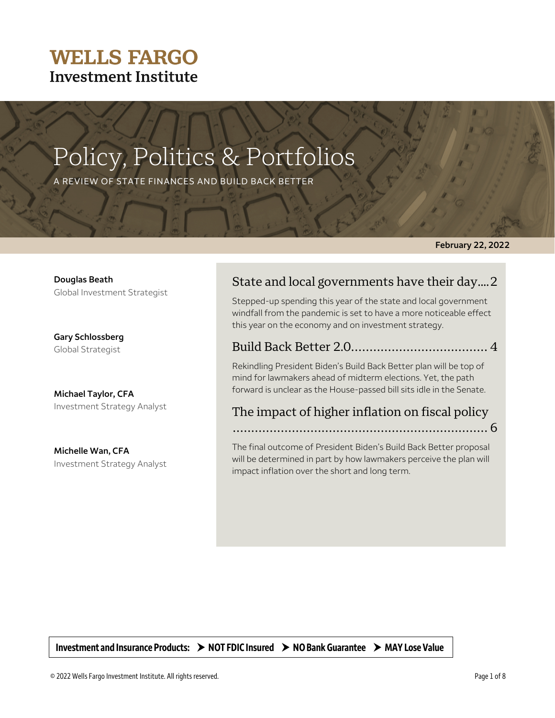### **WELLS FARGO Investment Institute**

# Policy, Politics & Portfolios

A REVIEW OF STATE FINANCES AND BUILD BACK BETTER

**February 22, 2022**

**Douglas Beath** Global Investment Strategist

**Gary Schlossberg** Global Strategist

**Michael Taylor, CFA**  Investment Strategy Analyst

**Michelle Wan, CFA**  Investment Strategy Analyst

### State and local governments have their day.... 2

Stepped-up spending this year of the state and local government windfall from the pandemic is set to have a more noticeable effect this year on the economy and on investment strategy.

### Build Back Better 2.0..................................... 4

Rekindling President Biden's Build Back Better plan will be top of mind for lawmakers ahead of midterm elections. Yet, the path forward is unclear as the House-passed bill sits idle in the Senate.

### The impact of higher inflation on fiscal policy

..................................................................... 6

The final outcome of President Biden's Build Back Better proposal will be determined in part by how lawmakers perceive the plan will impact inflation over the short and long term.

Investment and Insurance Products:  $\rightarrow$  NOT FDIC Insured  $\rightarrow$  NO Bank Guarantee  $\rightarrow$  MAY Lose Value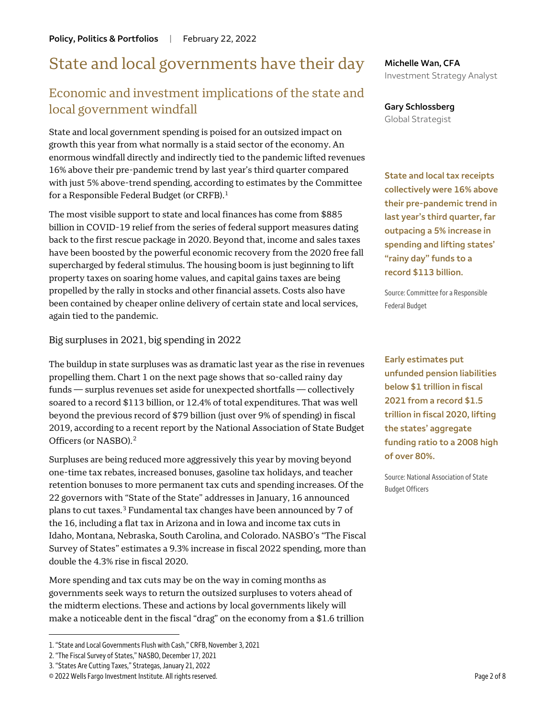### State and local governments have their day

### Economic and investment implications of the state and local government windfall

State and local government spending is poised for an outsized impact on growth this year from what normally is a staid sector of the economy. An enormous windfall directly and indirectly tied to the pandemic lifted revenues 16% above their pre-pandemic trend by last year's third quarter compared with just 5% above-trend spending, according to estimates by the Committee for a Responsible Federal Budget (or CRFB).<sup>[1](#page-1-0)</sup>

The most visible support to state and local finances has come from \$885 billion in COVID-19 relief from the series of federal support measures dating back to the first rescue package in 2020. Beyond that, income and sales taxes have been boosted by the powerful economic recovery from the 2020 free fall supercharged by federal stimulus. The housing boom is just beginning to lift property taxes on soaring home values, and capital gains taxes are being propelled by the rally in stocks and other financial assets. Costs also have been contained by cheaper online delivery of certain state and local services, again tied to the pandemic.

Big surpluses in 2021, big spending in 2022

The buildup in state surpluses was as dramatic last year as the rise in revenues propelling them. Chart 1 on the next page shows that so-called rainy day funds — surplus revenues set aside for unexpected shortfalls — collectively soared to a record \$113 billion, or 12.4% of total expenditures. That was well beyond the previous record of \$79 billion (just over 9% of spending) in fiscal 2019, according to a recent report by the National Association of State Budget Officers (or NASBO).[2](#page-1-1)

Surpluses are being reduced more aggressively this year by moving beyond one-time tax rebates, increased bonuses, gasoline tax holidays, and teacher retention bonuses to more permanent tax cuts and spending increases. Of the 22 governors with "State of the State" addresses in January, 16 announced plans to cut taxes.[3](#page-1-2) Fundamental tax changes have been announced by 7 of the 16, including a flat tax in Arizona and in Iowa and income tax cuts in Idaho, Montana, Nebraska, South Carolina, and Colorado. NASBO's "The Fiscal Survey of States" estimates a 9.3% increase in fiscal 2022 spending, more than double the 4.3% rise in fiscal 2020.

More spending and tax cuts may be on the way in coming months as governments seek ways to return the outsized surpluses to voters ahead of the midterm elections. These and actions by local governments likely will make a noticeable dent in the fiscal "drag" on the economy from a \$1.6 trillion

 $\overline{a}$ 

**Michelle Wan, CFA** Investment Strategy Analyst

**Gary Schlossberg** Global Strategist

**State and local tax receipts collectively were 16% above their pre-pandemic trend in last year's third quarter, far outpacing a 5% increase in spending and lifting states' "rainy day" funds to a record \$113 billion.**

Source: Committee for a Responsible Federal Budget

**Early estimates put unfunded pension liabilities below \$1 trillion in fiscal 2021 from a record \$1.5 trillion in fiscal 2020, lifting the states' aggregate funding ratio to a 2008 high of over 80%.** 

Source: National Association of State Budget Officers

<span id="page-1-0"></span><sup>1. &</sup>quot;State and Local Governments Flush with Cash," CRFB, November 3, 2021

<span id="page-1-1"></span><sup>2. &</sup>quot;The Fiscal Survey of States," NASBO, December 17, 2021

<span id="page-1-2"></span><sup>3. &</sup>quot;States Are Cutting Taxes," Strategas, January 21, 2022

<sup>© 2022</sup> Wells Fargo Investment Institute. All rights reserved. Page 2 of 8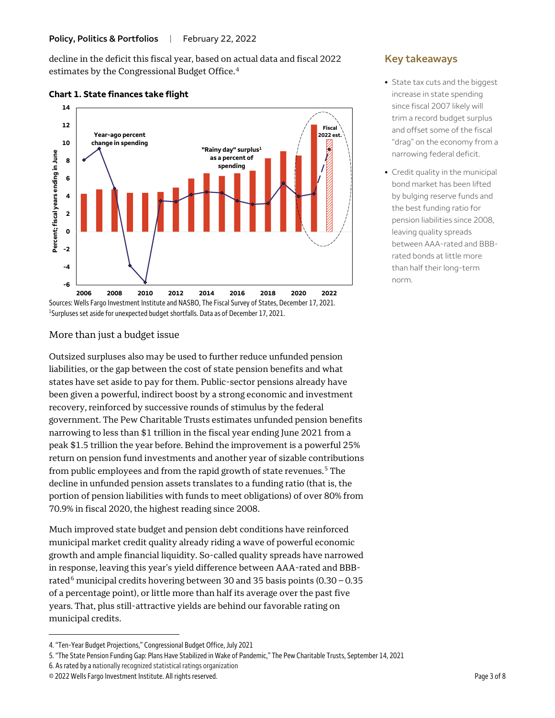decline in the deficit this fiscal year, based on actual data and fiscal 2022 estimates by the Congressional Budget Office.[4](#page-2-0)



### **Chart 1. State finances take flight**



### More than just a budget issue

Outsized surpluses also may be used to further reduce unfunded pension liabilities, or the gap between the cost of state pension benefits and what states have set aside to pay for them. Public-sector pensions already have been given a powerful, indirect boost by a strong economic and investment recovery, reinforced by successive rounds of stimulus by the federal government. The Pew Charitable Trusts estimates unfunded pension benefits narrowing to less than \$1 trillion in the fiscal year ending June 2021 from a peak \$1.5 trillion the year before. Behind the improvement is a powerful 25% return on pension fund investments and another year of sizable contributions from public employees and from the rapid growth of state revenues.<sup>[5](#page-2-1)</sup> The decline in unfunded pension assets translates to a funding ratio (that is, the portion of pension liabilities with funds to meet obligations) of over 80% from 70.9% in fiscal 2020, the highest reading since 2008.

Much improved state budget and pension debt conditions have reinforced municipal market credit quality already riding a wave of powerful economic growth and ample financial liquidity. So-called quality spreads have narrowed in response, leaving this year's yield difference between AAA-rated and BBB-rated<sup>[6](#page-2-2)</sup> municipal credits hovering between 30 and 35 basis points  $(0.30 - 0.35)$ of a percentage point), or little more than half its average over the past five years. That, plus still-attractive yields are behind our favorable rating on municipal credits.

- <span id="page-2-2"></span>6. As rated by a nationally recognized statistical ratings organization
- © 2022 Wells Fargo Investment Institute. All rights reserved. Page 3 of 8

 $\overline{a}$ 

### **Key takeaways**

- State tax cuts and the biggest increase in state spending since fiscal 2007 likely will trim a record budget surplus and offset some of the fiscal "drag" on the economy from a narrowing federal deficit.
- Credit quality in the municipal bond market has been lifted by bulging reserve funds and the best funding ratio for pension liabilities since 2008, leaving quality spreads between AAA-rated and BBBrated bonds at little more than half their long-term norm.

<span id="page-2-0"></span><sup>4. &</sup>quot;Ten-Year Budget Projections," Congressional Budget Office, July 2021

<span id="page-2-1"></span><sup>5. &</sup>quot;The State Pension Funding Gap: Plans Have Stabilized in Wake of Pandemic," The Pew Charitable Trusts, September 14, 2021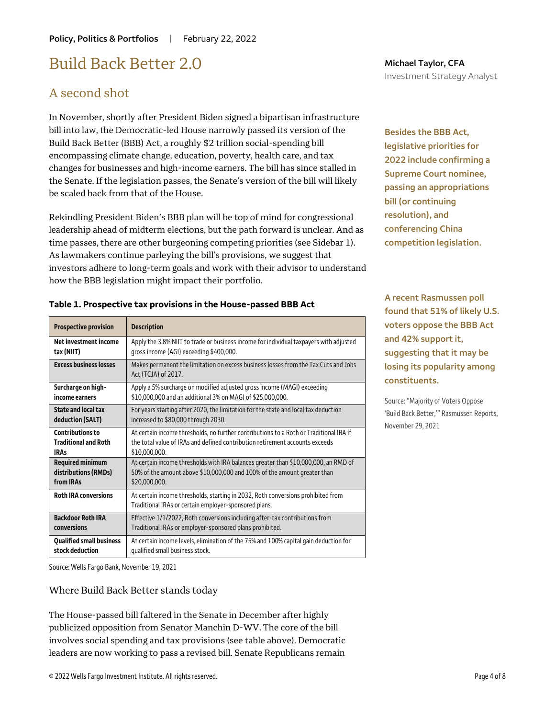### Build Back Better 2.0

### A second shot

In November, shortly after President Biden signed a bipartisan infrastructure bill into law, the Democratic-led House narrowly passed its version of the Build Back Better (BBB) Act, a roughly \$2 trillion social-spending bill encompassing climate change, education, poverty, health care, and tax changes for businesses and high-income earners. The bill has since stalled in the Senate. If the legislation passes, the Senate's version of the bill will likely be scaled back from that of the House.

Rekindling President Biden's BBB plan will be top of mind for congressional leadership ahead of midterm elections, but the path forward is unclear. And as time passes, there are other burgeoning competing priorities (see Sidebar 1). As lawmakers continue parleying the bill's provisions, we suggest that investors adhere to long-term goals and work with their advisor to understand how the BBB legislation might impact their portfolio.

**Besides the BBB Act, legislative priorities for 2022 include confirming a Supreme Court nominee, passing an appropriations bill (or continuing resolution), and conferencing China competition legislation.**

**A recent Rasmussen poll found that 51% of likely U.S. voters oppose the BBB Act and 42% support it, suggesting that it may be losing its popularity among constituents.**

Source: "Majority of Voters Oppose 'Build Back Better,'" Rasmussen Reports, November 29, 2021

publicized opposition from Senator Manchin D-WV. The core of the bill involves social spending and tax provisions (see table above). Democratic leaders are now working to pass a revised bill. Senate Republicans remain

#### **Qualified small business stock deduction** qualified small business stock.

### Where Build Back Better stands today

Source: Wells Fargo Bank, November 19, 2021

### **Prospective provision Description**

**Table 1. Prospective tax provisions in the House-passed BBB Act**

| Net investment income           | Apply the 3.8% NIIT to trade or business income for individual taxpayers with adjusted                                                    |
|---------------------------------|-------------------------------------------------------------------------------------------------------------------------------------------|
| tax (NIIT)                      | gross income (AGI) exceeding \$400,000.                                                                                                   |
| <b>Excess business losses</b>   | Makes permanent the limitation on excess business losses from the Tax Cuts and Jobs<br>Act (TCJA) of 2017.                                |
| Surcharge on high-              | Apply a 5% surcharge on modified adjusted gross income (MAGI) exceeding                                                                   |
| income earners                  | \$10,000,000 and an additional 3% on MAGI of \$25,000,000.                                                                                |
| State and local tax             | For years starting after 2020, the limitation for the state and local tax deduction                                                       |
| deduction (SALT)                | increased to \$80,000 through 2030.                                                                                                       |
| <b>Contributions to</b>         | At certain income thresholds, no further contributions to a Roth or Traditional IRA if                                                    |
| <b>Traditional and Roth</b>     | the total value of IRAs and defined contribution retirement accounts exceeds                                                              |
| <b>IRAs</b>                     | \$10,000,000.                                                                                                                             |
| <b>Required minimum</b>         | At certain income thresholds with IRA balances greater than \$10,000,000, an RMD of                                                       |
| distributions (RMDs)            | 50% of the amount above \$10,000,000 and 100% of the amount greater than                                                                  |
| from <b>IRAs</b>                | \$20,000,000.                                                                                                                             |
| <b>Roth IRA conversions</b>     | At certain income thresholds, starting in 2032, Roth conversions prohibited from<br>Traditional IRAs or certain employer-sponsored plans. |
| <b>Backdoor Roth IRA</b>        | Effective 1/1/2022, Roth conversions including after-tax contributions from                                                               |
| conversions                     | Traditional IRAs or employer-sponsored plans prohibited.                                                                                  |
| <b>Qualified small business</b> | At certain income levels, elimination of the 75% and 100% capital gain deduction for                                                      |
| stock deduction                 | qualified small business stock.                                                                                                           |

#### **Michael Taylor, CFA** Investment Strategy Analyst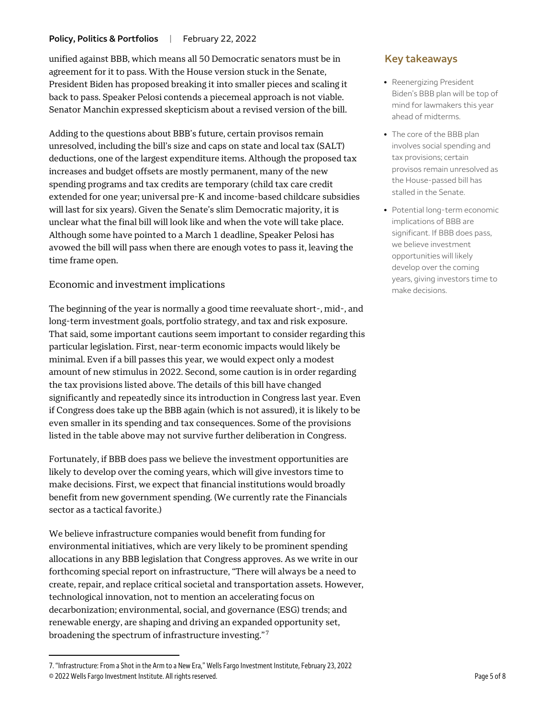#### Policy, Politics & Portfolios | February 22, 2022

unified against BBB, which means all 50 Democratic senators must be in agreement for it to pass. With the House version stuck in the Senate, President Biden has proposed breaking it into smaller pieces and scaling it back to pass. Speaker Pelosi contends a piecemeal approach is not viable. Senator Manchin expressed skepticism about a revised version of the bill.

Adding to the questions about BBB's future, certain provisos remain unresolved, including the bill's size and caps on state and local tax (SALT) deductions, one of the largest expenditure items. Although the proposed tax increases and budget offsets are mostly permanent, many of the new spending programs and tax credits are temporary (child tax care credit extended for one year; universal pre-K and income-based childcare subsidies will last for six years). Given the Senate's slim Democratic majority, it is unclear what the final bill will look like and when the vote will take place. Although some have pointed to a March 1 deadline, Speaker Pelosi has avowed the bill will pass when there are enough votes to pass it, leaving the time frame open.

#### Economic and investment implications

The beginning of the year is normally a good time reevaluate short-, mid-, and long-term investment goals, portfolio strategy, and tax and risk exposure. That said, some important cautions seem important to consider regarding this particular legislation. First, near-term economic impacts would likely be minimal. Even if a bill passes this year, we would expect only a modest amount of new stimulus in 2022. Second, some caution is in order regarding the tax provisions listed above. The details of this bill have changed significantly and repeatedly since its introduction in Congress last year. Even if Congress does take up the BBB again (which is not assured), it is likely to be even smaller in its spending and tax consequences. Some of the provisions listed in the table above may not survive further deliberation in Congress.

Fortunately, if BBB does pass we believe the investment opportunities are likely to develop over the coming years, which will give investors time to make decisions. First, we expect that financial institutions would broadly benefit from new government spending. (We currently rate the Financials sector as a tactical favorite.)

We believe infrastructure companies would benefit from funding for environmental initiatives, which are very likely to be prominent spending allocations in any BBB legislation that Congress approves. As we write in our forthcoming special report on infrastructure, "There will always be a need to create, repair, and replace critical societal and transportation assets. However, technological innovation, not to mention an accelerating focus on decarbonization; environmental, social, and governance (ESG) trends; and renewable energy, are shaping and driving an expanded opportunity set, broadening the spectrum of infrastructure investing."[7](#page-4-0)

 $\overline{a}$ 

### **Key takeaways**

- Reenergizing President Biden's BBB plan will be top of mind for lawmakers this year ahead of midterms.
- The core of the BBB plan involves social spending and tax provisions; certain provisos remain unresolved as the House-passed bill has stalled in the Senate.
- Potential long-term economic implications of BBB are significant. If BBB does pass, we believe investment opportunities will likely develop over the coming years, giving investors time to make decisions.

<span id="page-4-0"></span><sup>7. &</sup>quot;Infrastructure: From a Shot in the Arm to a New Era," Wells Fargo Investment Institute, February 23, 2022

<sup>© 2022</sup> Wells Fargo Investment Institute. All rights reserved. Page 5 of 8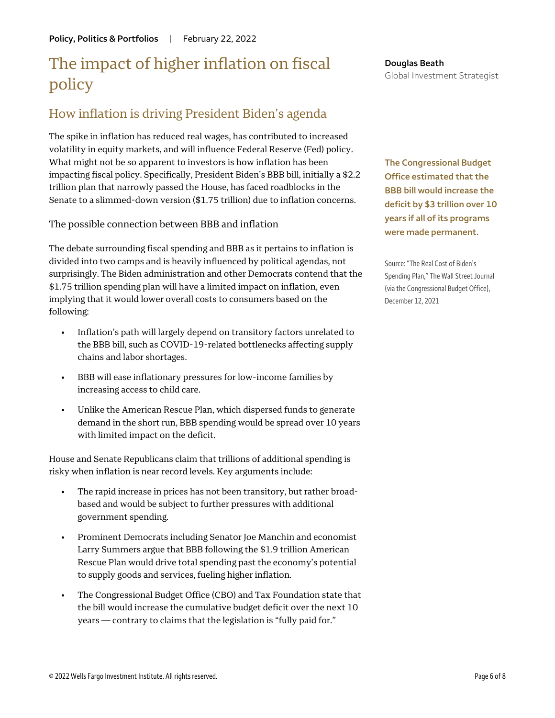## The impact of higher inflation on fiscal policy

### How inflation is driving President Biden's agenda

The spike in inflation has reduced real wages, has contributed to increased volatility in equity markets, and will influence Federal Reserve (Fed) policy. What might not be so apparent to investors is how inflation has been impacting fiscal policy. Specifically, President Biden's BBB bill, initially a \$2.2 trillion plan that narrowly passed the House, has faced roadblocks in the Senate to a slimmed-down version (\$1.75 trillion) due to inflation concerns.

The possible connection between BBB and inflation

The debate surrounding fiscal spending and BBB as it pertains to inflation is divided into two camps and is heavily influenced by political agendas, not surprisingly. The Biden administration and other Democrats contend that the \$1.75 trillion spending plan will have a limited impact on inflation, even implying that it would lower overall costs to consumers based on the following:

- Inflation's path will largely depend on transitory factors unrelated to the BBB bill, such as COVID-19-related bottlenecks affecting supply chains and labor shortages.
- BBB will ease inflationary pressures for low-income families by increasing access to child care.
- Unlike the American Rescue Plan, which dispersed funds to generate demand in the short run, BBB spending would be spread over 10 years with limited impact on the deficit.

House and Senate Republicans claim that trillions of additional spending is risky when inflation is near record levels. Key arguments include:

- The rapid increase in prices has not been transitory, but rather broadbased and would be subject to further pressures with additional government spending.
- Prominent Democrats including Senator Joe Manchin and economist Larry Summers argue that BBB following the \$1.9 trillion American Rescue Plan would drive total spending past the economy's potential to supply goods and services, fueling higher inflation.
- The Congressional Budget Office (CBO) and Tax Foundation state that the bill would increase the cumulative budget deficit over the next 10 years — contrary to claims that the legislation is "fully paid for."

**Douglas Beath** Global Investment Strategist

**The Congressional Budget Office estimated that the BBB bill would increase the deficit by \$3 trillion over 10 years if all of its programs were made permanent.**

Source: "The Real Cost of Biden's Spending Plan," The Wall Street Journal (via the Congressional Budget Office), December 12, 2021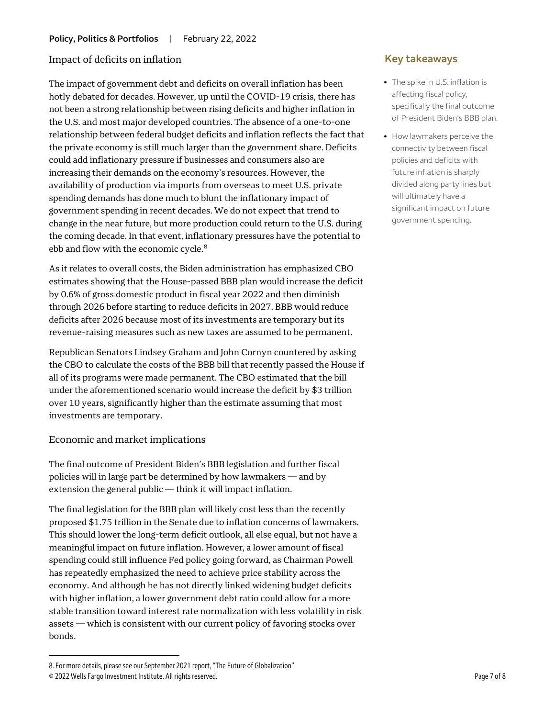#### Impact of deficits on inflation

The impact of government debt and deficits on overall inflation has been hotly debated for decades. However, up until the COVID-19 crisis, there has not been a strong relationship between rising deficits and higher inflation in the U.S. and most major developed countries. The absence of a one-to-one relationship between federal budget deficits and inflation reflects the fact that the private economy is still much larger than the government share. Deficits could add inflationary pressure if businesses and consumers also are increasing their demands on the economy's resources. However, the availability of production via imports from overseas to meet U.S. private spending demands has done much to blunt the inflationary impact of government spending in recent decades. We do not expect that trend to change in the near future, but more production could return to the U.S. during the coming decade. In that event, inflationary pressures have the potential to ebb and flow with the economic cycle.<sup>[8](#page-6-0)</sup>

As it relates to overall costs, the Biden administration has emphasized CBO estimates showing that the House-passed BBB plan would increase the deficit by 0.6% of gross domestic product in fiscal year 2022 and then diminish through 2026 before starting to reduce deficits in 2027. BBB would reduce deficits after 2026 because most of its investments are temporary but its revenue-raising measures such as new taxes are assumed to be permanent.

Republican Senators Lindsey Graham and John Cornyn countered by asking the CBO to calculate the costs of the BBB bill that recently passed the House if all of its programs were made permanent. The CBO estimated that the bill under the aforementioned scenario would increase the deficit by \$3 trillion over 10 years, significantly higher than the estimate assuming that most investments are temporary.

#### Economic and market implications

The final outcome of President Biden's BBB legislation and further fiscal policies will in large part be determined by how lawmakers — and by extension the general public — think it will impact inflation.

The final legislation for the BBB plan will likely cost less than the recently proposed \$1.75 trillion in the Senate due to inflation concerns of lawmakers. This should lower the long-term deficit outlook, all else equal, but not have a meaningful impact on future inflation. However, a lower amount of fiscal spending could still influence Fed policy going forward, as Chairman Powell has repeatedly emphasized the need to achieve price stability across the economy. And although he has not directly linked widening budget deficits with higher inflation, a lower government debt ratio could allow for a more stable transition toward interest rate normalization with less volatility in risk assets — which is consistent with our current policy of favoring stocks over bonds.

 $\overline{a}$ 

### **Key takeaways**

- The spike in U.S. inflation is affecting fiscal policy, specifically the final outcome of President Biden's BBB plan.
- How lawmakers perceive the connectivity between fiscal policies and deficits with future inflation is sharply divided along party lines but will ultimately have a significant impact on future government spending.

<span id="page-6-0"></span><sup>8.</sup> For more details, please see our September 2021 report, "The Future of Globalization"

<sup>© 2022</sup> Wells Fargo Investment Institute. All rights reserved. Page 7 of 8